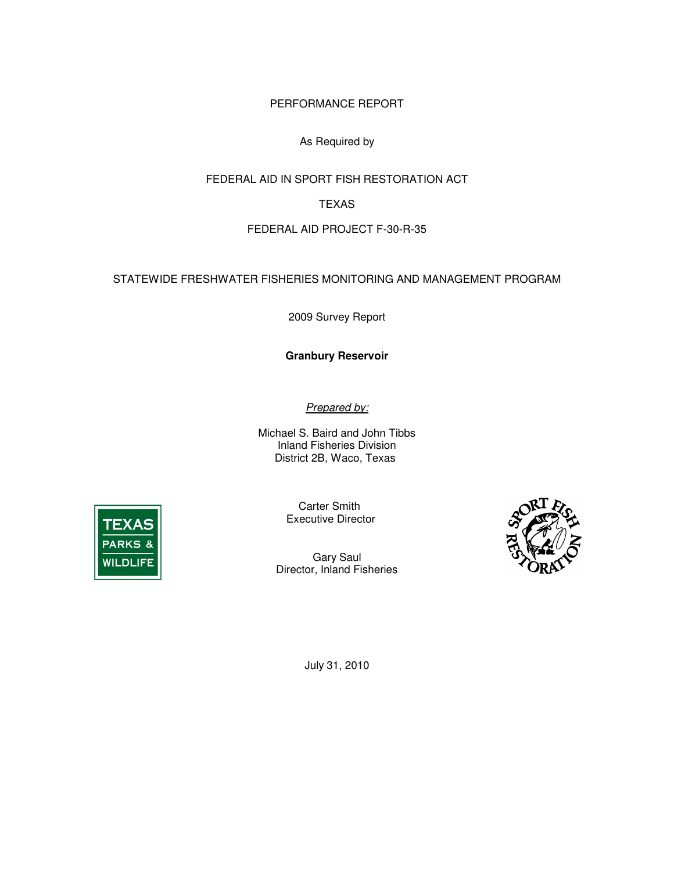PERFORMANCE REPORT

## As Required by

FEDERAL AID IN SPORT FISH RESTORATION ACT

## TEXAS

## FEDERAL AID PROJECT F-30-R-35

STATEWIDE FRESHWATER FISHERIES MONITORING AND MANAGEMENT PROGRAM

2009 Survey Report

 **Granbury Reservoir** 

Prepared by:

 Michael S. Baird and John Tibbs Inland Fisheries Division District 2B, Waco, Texas



Carter Smith Executive Director

 Gary Saul Director, Inland Fisheries



July 31, 2010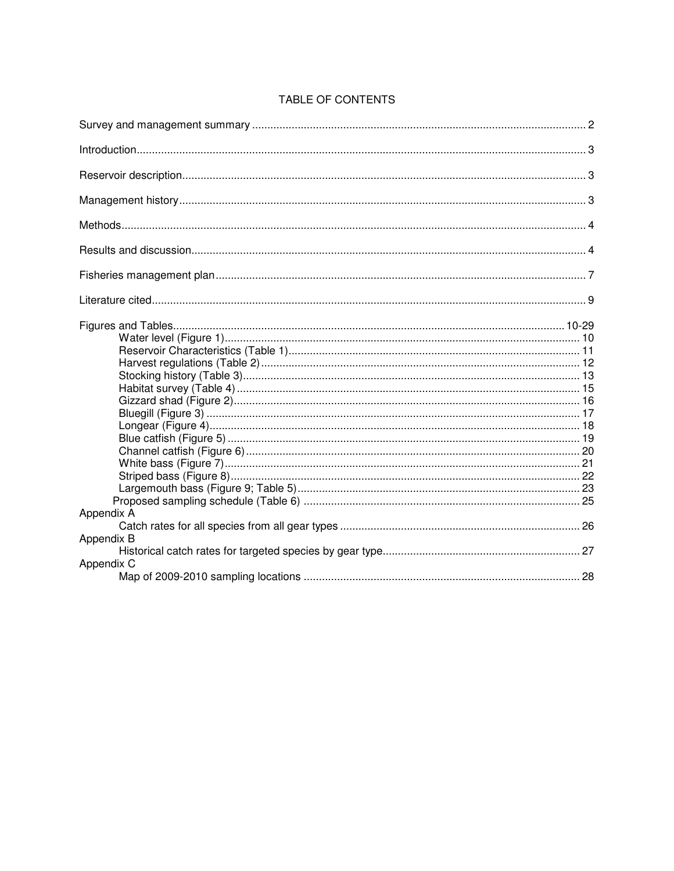| Appendix A               |  |
|--------------------------|--|
|                          |  |
| Appendix B<br>Appendix C |  |

## TABLE OF CONTENTS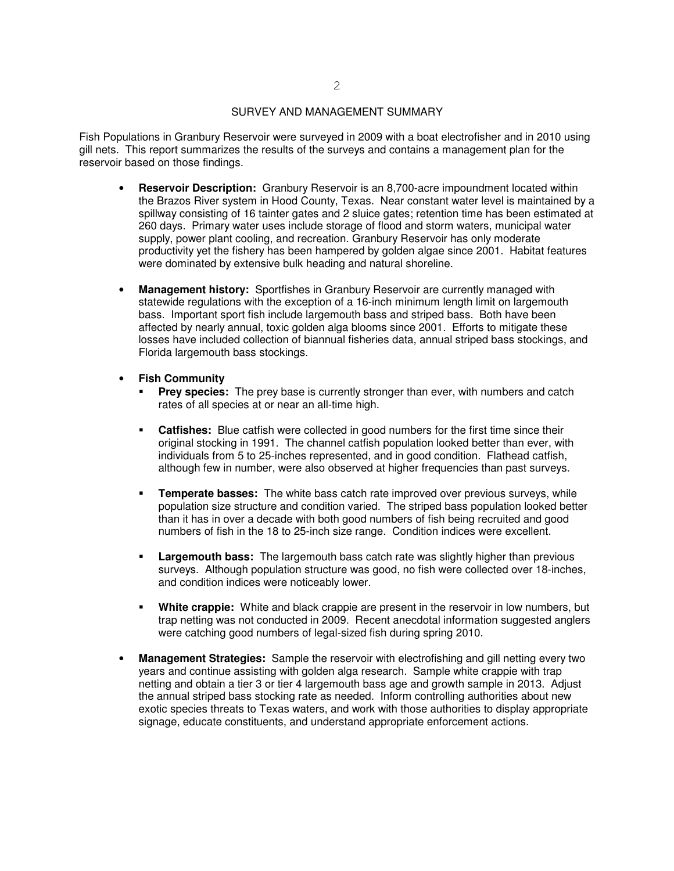#### SURVEY AND MANAGEMENT SUMMARY

<span id="page-2-0"></span> Fish Populations in Granbury Reservoir were surveyed in 2009 with a boat electrofisher and in 2010 using gill nets. This report summarizes the results of the surveys and contains a management plan for the reservoir based on those findings.

- • **Reservoir Description:** Granbury Reservoir is an 8,700-acre impoundment located within the Brazos River system in Hood County, Texas. Near constant water level is maintained by a spillway consisting of 16 tainter gates and 2 sluice gates; retention time has been estimated at 260 days. Primary water uses include storage of flood and storm waters, municipal water supply, power plant cooling, and recreation. Granbury Reservoir has only moderate productivity yet the fishery has been hampered by golden algae since 2001. Habitat features were dominated by extensive bulk heading and natural shoreline.
- **Management history:** Sportfishes in Granbury Reservoir are currently managed with statewide regulations with the exception of a 16-inch minimum length limit on largemouth bass. Important sport fish include largemouth bass and striped bass. Both have been affected by nearly annual, toxic golden alga blooms since 2001. Efforts to mitigate these losses have included collection of biannual fisheries data, annual striped bass stockings, and Florida largemouth bass stockings.
- **Fish Community**
- **• Fish Community**<br>**• Prey species:** The prey base is currently stronger than ever, with numbers and catch rates of all species at or near an all-time high.
	- **Catfishes:** Blue catfish were collected in good numbers for the first time since their original stocking in 1991. The channel catfish population looked better than ever, with individuals from 5 to 25-inches represented, and in good condition. Flathead catfish, although few in number, were also observed at higher frequencies than past surveys.
	- **Temperate basses:** The white bass catch rate improved over previous surveys, while population size structure and condition varied. The striped bass population looked better than it has in over a decade with both good numbers of fish being recruited and good numbers of fish in the 18 to 25-inch size range. Condition indices were excellent.
	- **Exambury bass:** The largemouth bass catch rate was slightly higher than previous surveys. Although population structure was good, no fish were collected over 18-inches, and condition indices were noticeably lower.
	- **White crappie:** White and black crappie are present in the reservoir in low numbers, but trap netting was not conducted in 2009. Recent anecdotal information suggested anglers were catching good numbers of legal-sized fish during spring 2010.
- • **Management Strategies:** Sample the reservoir with electrofishing and gill netting every two years and continue assisting with golden alga research. Sample white crappie with trap netting and obtain a tier 3 or tier 4 largemouth bass age and growth sample in 2013. Adjust the annual striped bass stocking rate as needed. Inform controlling authorities about new exotic species threats to Texas waters, and work with those authorities to display appropriate signage, educate constituents, and understand appropriate enforcement actions.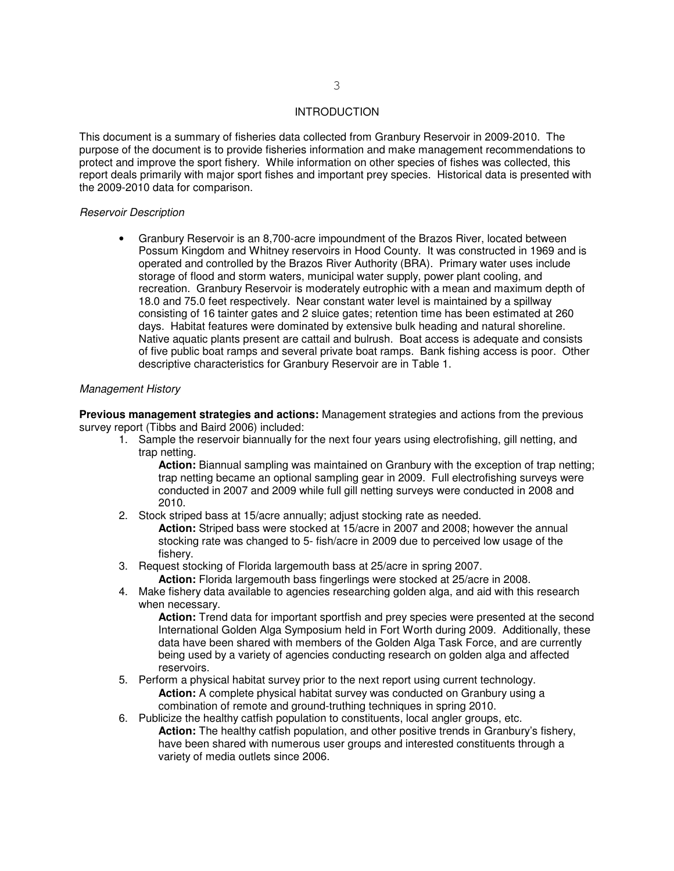#### INTRODUCTION

<span id="page-3-0"></span> This document is a summary of fisheries data collected from Granbury Reservoir in 2009-2010. The purpose of the document is to provide fisheries information and make management recommendations to protect and improve the sport fishery. While information on other species of fishes was collected, this report deals primarily with major sport fishes and important prey species. Historical data is presented with the 2009-2010 data for comparison.

### Reservoir Description

• Granbury Reservoir is an 8,700-acre impoundment of the Brazos River, located between Possum Kingdom and Whitney reservoirs in Hood County. It was constructed in 1969 and is operated and controlled by the Brazos River Authority (BRA). Primary water uses include storage of flood and storm waters, municipal water supply, power plant cooling, and recreation. Granbury Reservoir is moderately eutrophic with a mean and maximum depth of 18.0 and 75.0 feet respectively. Near constant water level is maintained by a spillway consisting of 16 tainter gates and 2 sluice gates; retention time has been estimated at 260 days. Habitat features were dominated by extensive bulk heading and natural shoreline. Native aquatic plants present are cattail and bulrush. Boat access is adequate and consists of five public boat ramps and several private boat ramps. Bank fishing access is poor. Other descriptive characteristics for Granbury Reservoir are in Table 1.

#### Management History

 **Previous management strategies and actions:** Management strategies and actions from the previous survey report (Tibbs and Baird 2006) included:

 1. Sample the reservoir biannually for the next four years using electrofishing, gill netting, and trap netting.

 **Action:** Biannual sampling was maintained on Granbury with the exception of trap netting; trap netting became an optional sampling gear in 2009. Full electrofishing surveys were conducted in 2007 and 2009 while full gill netting surveys were conducted in 2008 and 2010.

- 2010. 2. Stock striped bass at 15/acre annually; adjust stocking rate as needed. **Action:** Striped bass were stocked at 15/acre in 2007 and 2008; however the annual stocking rate was changed to 5- fish/acre in 2009 due to perceived low usage of the fisherv.
- fishery. 3. Request stocking of Florida largemouth bass at 25/acre in spring 2007.
	- **Action:** Florida largemouth bass fingerlings were stocked at 25/acre in 2008.
- 4. Make fishery data available to agencies researching golden alga, and aid with this research when necessary.

 **Action:** Trend data for important sportfish and prey species were presented at the second International Golden Alga Symposium held in Fort Worth during 2009. Additionally, these data have been shared with members of the Golden Alga Task Force, and are currently being used by a variety of agencies conducting research on golden alga and affected reservoirs.

- reservoirs.<br>5. Perform a physical habitat survey prior to the next report using current technology. **Action:** A complete physical habitat survey was conducted on Granbury using a combination of remote and ground-truthing techniques in spring 2010.
- 6. Publicize the healthy catfish population to constituents, local angler groups, etc. **Action:** The healthy catfish population, and other positive trends in Granbury's fishery, have been shared with numerous user groups and interested constituents through a variety of media outlets since 2006.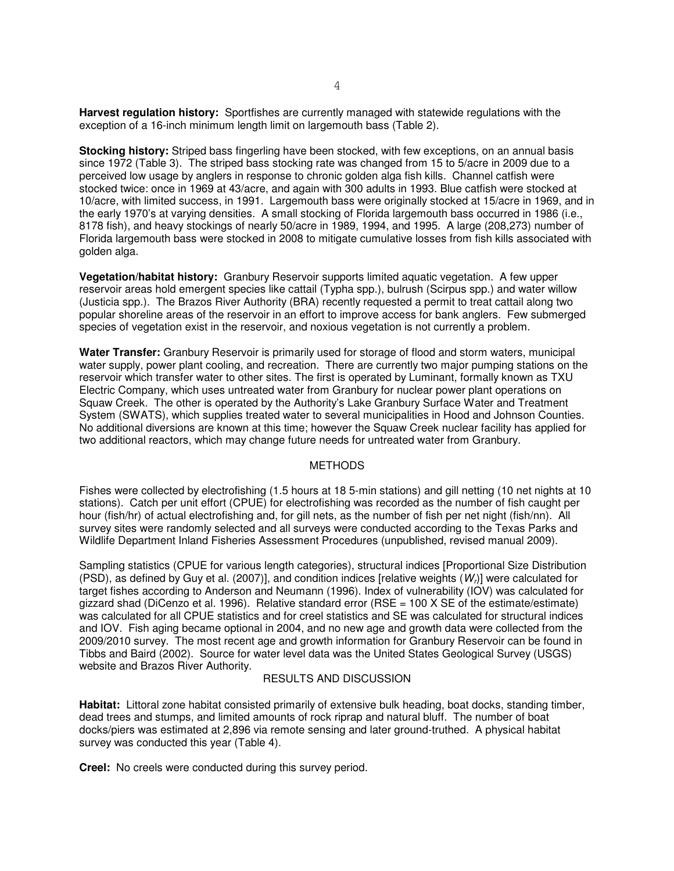<span id="page-4-0"></span> **Harvest regulation history:** Sportfishes are currently managed with statewide regulations with the exception of a 16-inch minimum length limit on largemouth bass (Table 2).

 **Stocking history:** Striped bass fingerling have been stocked, with few exceptions, on an annual basis since 1972 (Table 3). The striped bass stocking rate was changed from 15 to 5/acre in 2009 due to a perceived low usage by anglers in response to chronic golden alga fish kills. Channel catfish were stocked twice: once in 1969 at 43/acre, and again with 300 adults in 1993. Blue catfish were stocked at 10/acre, with limited success, in 1991. Largemouth bass were originally stocked at 15/acre in 1969, and in the early 1970's at varying densities. A small stocking of Florida largemouth bass occurred in 1986 (i.e., 8178 fish), and heavy stockings of nearly 50/acre in 1989, 1994, and 1995. A large (208,273) number of Florida largemouth bass were stocked in 2008 to mitigate cumulative losses from fish kills associated with golden alga.

 **Vegetation/habitat history:** Granbury Reservoir supports limited aquatic vegetation. A few upper reservoir areas hold emergent species like cattail (Typha spp.), bulrush (Scirpus spp.) and water willow (Justicia spp.). The Brazos River Authority (BRA) recently requested a permit to treat cattail along two popular shoreline areas of the reservoir in an effort to improve access for bank anglers. Few submerged species of vegetation exist in the reservoir, and noxious vegetation is not currently a problem.

 **Water Transfer:** Granbury Reservoir is primarily used for storage of flood and storm waters, municipal water supply, power plant cooling, and recreation. There are currently two major pumping stations on the reservoir which transfer water to other sites. The first is operated by Luminant, formally known as TXU Electric Company, which uses untreated water from Granbury for nuclear power plant operations on Squaw Creek. The other is operated by the Authority's Lake Granbury Surface Water and Treatment System (SWATS), which supplies treated water to several municipalities in Hood and Johnson Counties. No additional diversions are known at this time; however the Squaw Creek nuclear facility has applied for two additional reactors, which may change future needs for untreated water from Granbury.

#### **METHODS**

 Fishes were collected by electrofishing (1.5 hours at 18 5-min stations) and gill netting (10 net nights at 10 stations). Catch per unit effort (CPUE) for electrofishing was recorded as the number of fish caught per hour (fish/hr) of actual electrofishing and, for gill nets, as the number of fish per net night (fish/nn). All survey sites were randomly selected and all surveys were conducted according to the Texas Parks and Wildlife Department Inland Fisheries Assessment Procedures (unpublished, revised manual 2009).

 Sampling statistics (CPUE for various length categories), structural indices [Proportional Size Distribution (PSD), as defined by Guy et al. (2007)], and condition indices [relative weights  $(W<sub>r</sub>)$ ] were calculated for target fishes according to Anderson and Neumann (1996). Index of vulnerability (IOV) was calculated for gizzard shad (DiCenzo et al. 1996). Relative standard error (RSE = 100 X SE of the estimate/estimate) was calculated for all CPUE statistics and for creel statistics and SE was calculated for structural indices and IOV. Fish aging became optional in 2004, and no new age and growth data were collected from the 2009/2010 survey. The most recent age and growth information for Granbury Reservoir can be found in Tibbs and Baird (2002). Source for water level data was the United States Geological Survey (USGS) website and Brazos River Authority.

### RESULTS AND DISCUSSION

 **Habitat:** Littoral zone habitat consisted primarily of extensive bulk heading, boat docks, standing timber, dead trees and stumps, and limited amounts of rock riprap and natural bluff. The number of boat docks/piers was estimated at 2,896 via remote sensing and later ground-truthed. A physical habitat survey was conducted this year (Table 4).

**Creel:** No creels were conducted during this survey period.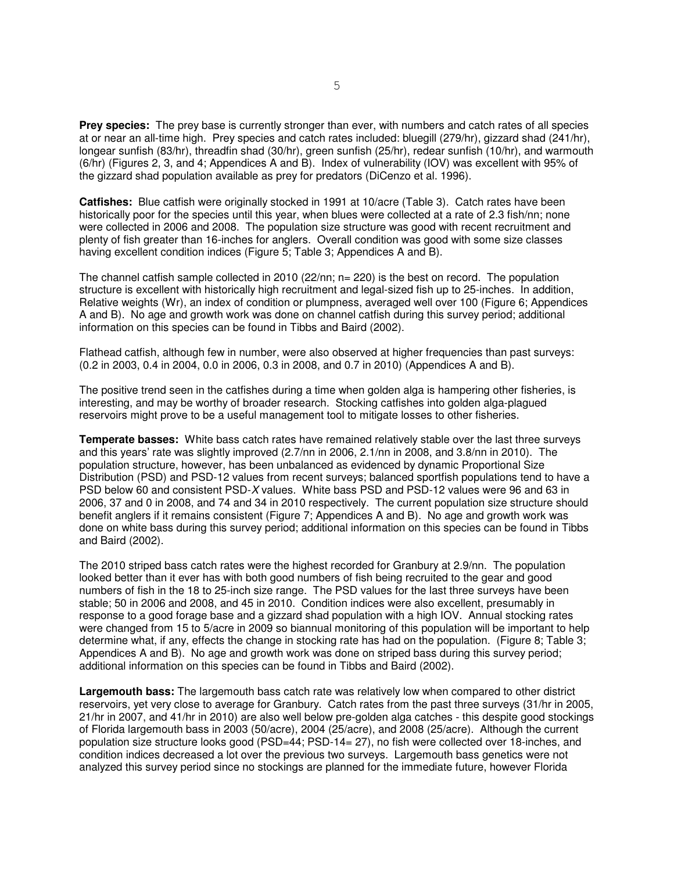**Prey species:** The prey base is currently stronger than ever, with numbers and catch rates of all species at or near an all-time high. Prey species and catch rates included: bluegill (279/hr), gizzard shad (241/hr), longear sunfish (83/hr), threadfin shad (30/hr), green sunfish (25/hr), redear sunfish (10/hr), and warmouth (6/hr) (Figures 2, 3, and 4; Appendices A and B). Index of vulnerability (IOV) was excellent with 95% of the gizzard shad population available as prey for predators (DiCenzo et al. 1996).

 **Catfishes:** Blue catfish were originally stocked in 1991 at 10/acre (Table 3). Catch rates have been historically poor for the species until this year, when blues were collected at a rate of 2.3 fish/nn; none were collected in 2006 and 2008. The population size structure was good with recent recruitment and plenty of fish greater than 16-inches for anglers. Overall condition was good with some size classes having excellent condition indices (Figure 5; Table 3; Appendices A and B).

 The channel catfish sample collected in 2010 (22/nn; n= 220) is the best on record. The population structure is excellent with historically high recruitment and legal-sized fish up to 25-inches. In addition, Relative weights (Wr), an index of condition or plumpness, averaged well over 100 (Figure 6; Appendices A and B). No age and growth work was done on channel catfish during this survey period; additional information on this species can be found in Tibbs and Baird (2002).

 Flathead catfish, although few in number, were also observed at higher frequencies than past surveys: (0.2 in 2003, 0.4 in 2004, 0.0 in 2006, 0.3 in 2008, and 0.7 in 2010) (Appendices A and B).

 The positive trend seen in the catfishes during a time when golden alga is hampering other fisheries, is interesting, and may be worthy of broader research. Stocking catfishes into golden alga-plagued reservoirs might prove to be a useful management tool to mitigate losses to other fisheries.

 **Temperate basses:** White bass catch rates have remained relatively stable over the last three surveys and this years' rate was slightly improved (2.7/nn in 2006, 2.1/nn in 2008, and 3.8/nn in 2010). The population structure, however, has been unbalanced as evidenced by dynamic Proportional Size Distribution (PSD) and PSD-12 values from recent surveys; balanced sportfish populations tend to have a PSD below 60 and consistent PSD-X values. White bass PSD and PSD-12 values were 96 and 63 in 2006, 37 and 0 in 2008, and 74 and 34 in 2010 respectively. The current population size structure should benefit anglers if it remains consistent (Figure 7; Appendices A and B). No age and growth work was done on white bass during this survey period; additional information on this species can be found in Tibbs and Baird (2002).

 The 2010 striped bass catch rates were the highest recorded for Granbury at 2.9/nn. The population looked better than it ever has with both good numbers of fish being recruited to the gear and good numbers of fish in the 18 to 25-inch size range. The PSD values for the last three surveys have been stable; 50 in 2006 and 2008, and 45 in 2010. Condition indices were also excellent, presumably in response to a good forage base and a gizzard shad population with a high IOV. Annual stocking rates were changed from 15 to 5/acre in 2009 so biannual monitoring of this population will be important to help determine what, if any, effects the change in stocking rate has had on the population. (Figure 8; Table 3; Appendices A and B). No age and growth work was done on striped bass during this survey period; additional information on this species can be found in Tibbs and Baird (2002).

 **Largemouth bass:** The largemouth bass catch rate was relatively low when compared to other district reservoirs, yet very close to average for Granbury. Catch rates from the past three surveys (31/hr in 2005, 21/hr in 2007, and 41/hr in 2010) are also well below pre-golden alga catches - this despite good stockings of Florida largemouth bass in 2003 (50/acre), 2004 (25/acre), and 2008 (25/acre). Although the current population size structure looks good (PSD=44; PSD-14= 27), no fish were collected over 18-inches, and condition indices decreased a lot over the previous two surveys. Largemouth bass genetics were not analyzed this survey period since no stockings are planned for the immediate future, however Florida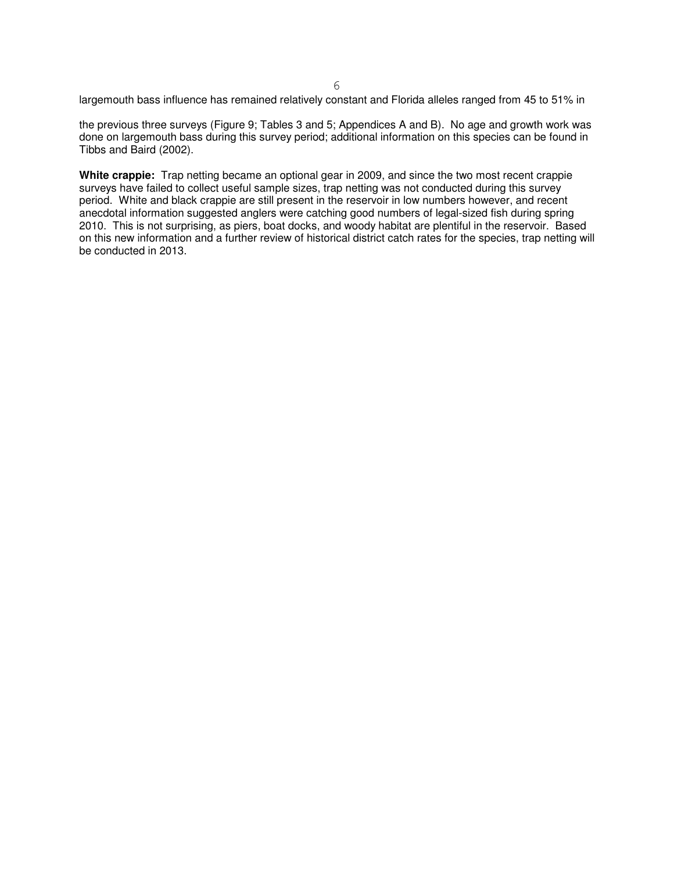largemouth bass influence has remained relatively constant and Florida alleles ranged from 45 to 51% in 6

 the previous three surveys (Figure 9; Tables 3 and 5; Appendices A and B). No age and growth work was done on largemouth bass during this survey period; additional information on this species can be found in Tibbs and Baird (2002).

 **White crappie:** Trap netting became an optional gear in 2009, and since the two most recent crappie surveys have failed to collect useful sample sizes, trap netting was not conducted during this survey period. White and black crappie are still present in the reservoir in low numbers however, and recent anecdotal information suggested anglers were catching good numbers of legal-sized fish during spring 2010. This is not surprising, as piers, boat docks, and woody habitat are plentiful in the reservoir. Based on this new information and a further review of historical district catch rates for the species, trap netting will be conducted in 2013.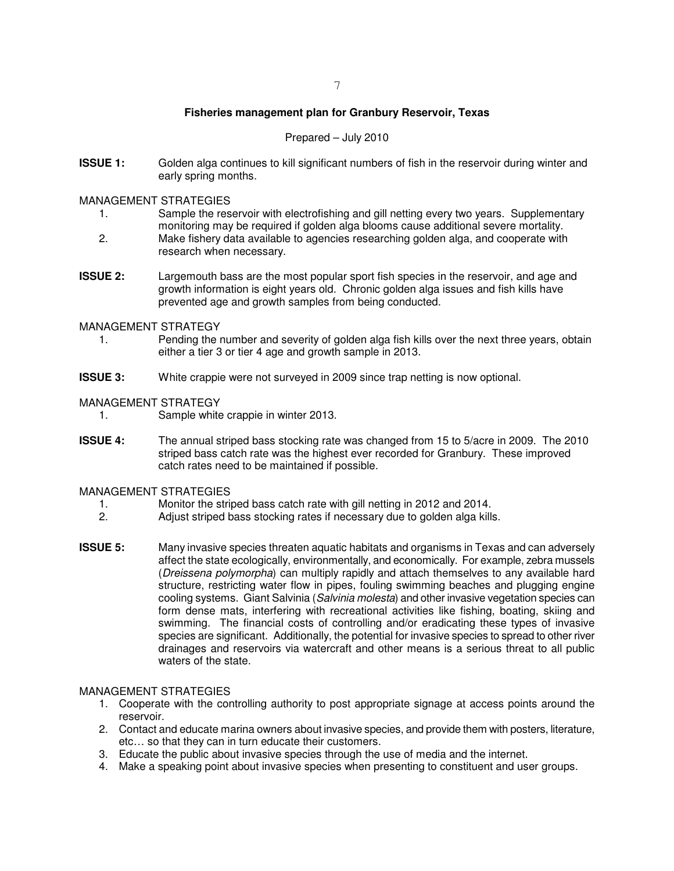### **Fisheries management plan for Granbury Reservoir, Texas**

### Prepared – July 2010

<span id="page-7-0"></span>**ISSUE 1:** Golden alga continues to kill significant numbers of fish in the reservoir during winter and early spring months.

### MANAGEMENT STRATEGIES

- 1. Sample the reservoir with electrofishing and gill netting every two years. Supplementary monitoring may be required if golden alga blooms cause additional severe mortality.
- 2. Make fishery data available to agencies researching golden alga, and cooperate with research when necessary.
- **ISSUE 2:**  growth information is eight years old. Chronic golden alga issues and fish kills have prevented age and growth samples from being conducted. Largemouth bass are the most popular sport fish species in the reservoir, and age and

#### MANAGEMENT STRATEGY

- $1.$  either a tier 3 or tier 4 age and growth sample in 2013. Pending the number and severity of golden alga fish kills over the next three years, obtain
- **ISSUE 3:** White crappie were not surveyed in 2009 since trap netting is now optional.

#### MANAGEMENT STRATEGY

- 1. Sample white crappie in winter 2013.
- **ISSUE 4:**  striped bass catch rate was the highest ever recorded for Granbury. These improved catch rates need to be maintained if possible. The annual striped bass stocking rate was changed from 15 to 5/acre in 2009. The 2010

### MANAGEMENT STRATEGIES

- 1. Monitor the striped bass catch rate with gill netting in 2012 and 2014.
- 2. Adjust striped bass stocking rates if necessary due to golden alga kills.
- **ISSUE 5:** Many invasive species threaten aquatic habitats and organisms in Texas and can adversely affect the state ecologically, environmentally, and economically. For example, zebra mussels (Dreissena polymorpha) can multiply rapidly and attach themselves to any available hard structure, restricting water flow in pipes, fouling swimming beaches and plugging engine cooling systems. Giant Salvinia (*Salvinia molesta*) and other invasive vegetation species can form dense mats, interfering with recreational activities like fishing, boating, skiing and swimming. The financial costs of controlling and/or eradicating these types of invasive species are significant. Additionally, the potential for invasive species to spread to other river drainages and reservoirs via watercraft and other means is a serious threat to all public waters of the state.

#### MANAGEMENT STRATEGIES

- 1. Cooperate with the controlling authority to post appropriate signage at access points around the reservoir.
- 2. Contact and educate marina owners about invasive species, and provide them with posters, literature, etc… so that they can in turn educate their customers.
- 3. Educate the public about invasive species through the use of media and the internet.
- 4. Make a speaking point about invasive species when presenting to constituent and user groups.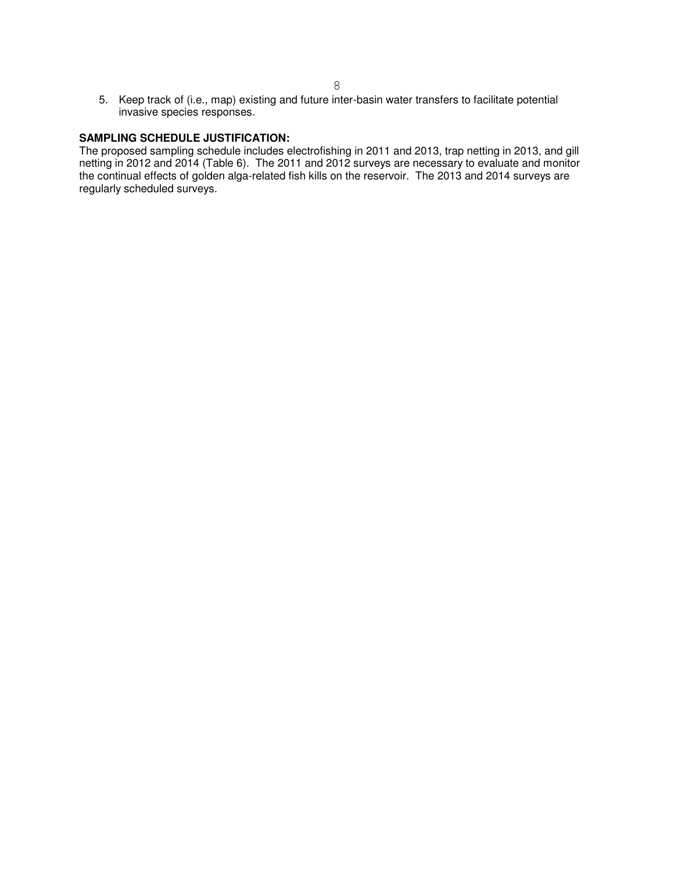5. Keep track of (i.e., map) existing and future inter-basin water transfers to facilitate potential invasive species responses.

#### **SAMPLING SCHEDULE JUSTIFICATION:**

 The proposed sampling schedule includes electrofishing in 2011 and 2013, trap netting in 2013, and gill netting in 2012 and 2014 (Table 6). The 2011 and 2012 surveys are necessary to evaluate and monitor the continual effects of golden alga-related fish kills on the reservoir. The 2013 and 2014 surveys are regularly scheduled surveys.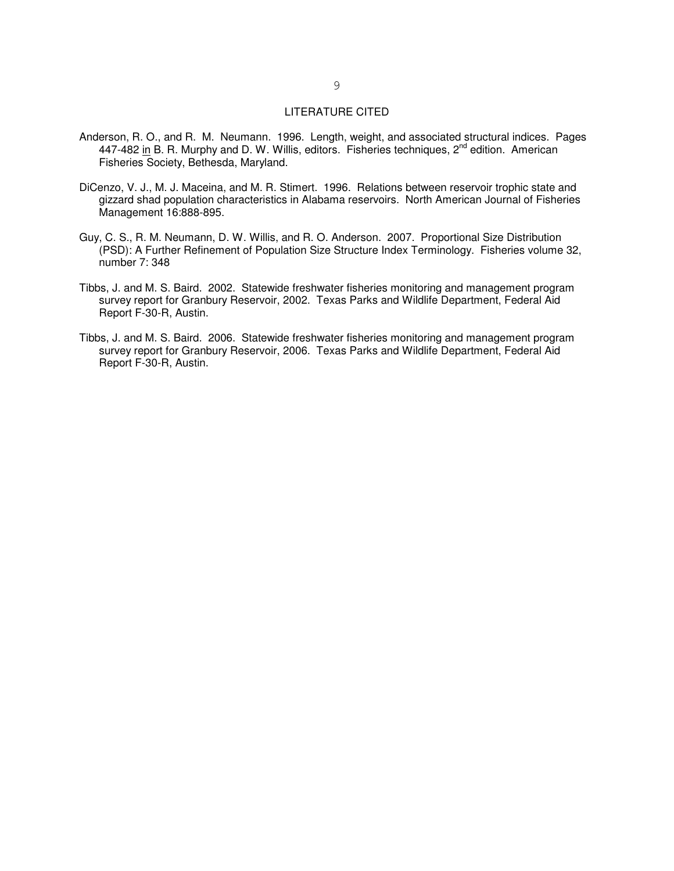#### LITERATURE CITED

- <span id="page-9-0"></span> Anderson, R. O., and R. M. Neumann. 1996. Length, weight, and associated structural indices. Pages 447-482 in B. R. Murphy and D. W. Willis, editors. Fisheries techniques, 2<sup>nd</sup> edition. American Fisheries Society, Bethesda, Maryland.
- DiCenzo, V. J., M. J. Maceina, and M. R. Stimert. 1996. Relations between reservoir trophic state and gizzard shad population characteristics in Alabama reservoirs. North American Journal of Fisheries Management 16:888-895.
- Guy, C. S., R. M. Neumann, D. W. Willis, and R. O. Anderson. 2007. Proportional Size Distribution (PSD): A Further Refinement of Population Size Structure Index Terminology. Fisheries volume 32, number 7: 348
- Tibbs, J. and M. S. Baird. 2002. Statewide freshwater fisheries monitoring and management program survey report for Granbury Reservoir, 2002. Texas Parks and Wildlife Department, Federal Aid Report F-30-R, Austin.
- Tibbs, J. and M. S. Baird. 2006. Statewide freshwater fisheries monitoring and management program survey report for Granbury Reservoir, 2006. Texas Parks and Wildlife Department, Federal Aid Report F-30-R, Austin.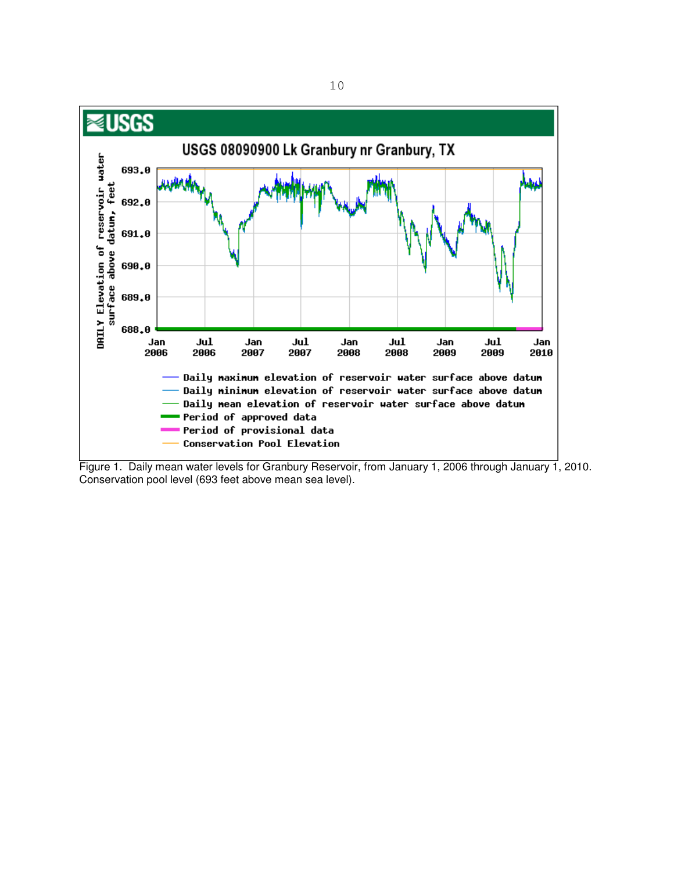<span id="page-10-0"></span>

 Figure 1. Daily mean water levels for Granbury Reservoir, from January 1, 2006 through January 1, 2010. Conservation pool level (693 feet above mean sea level).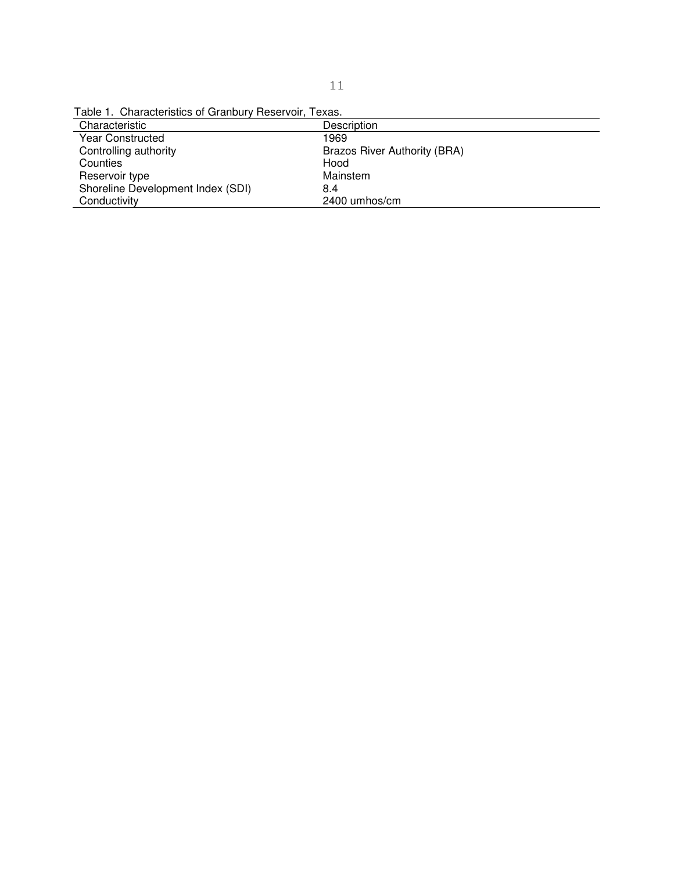Table 1. Characteristics of Granbury Reservoir, Texas.

| Description                  |
|------------------------------|
| 1969                         |
| Brazos River Authority (BRA) |
| Hood                         |
| Mainstem                     |
| 8.4                          |
| 2400 umhos/cm                |
|                              |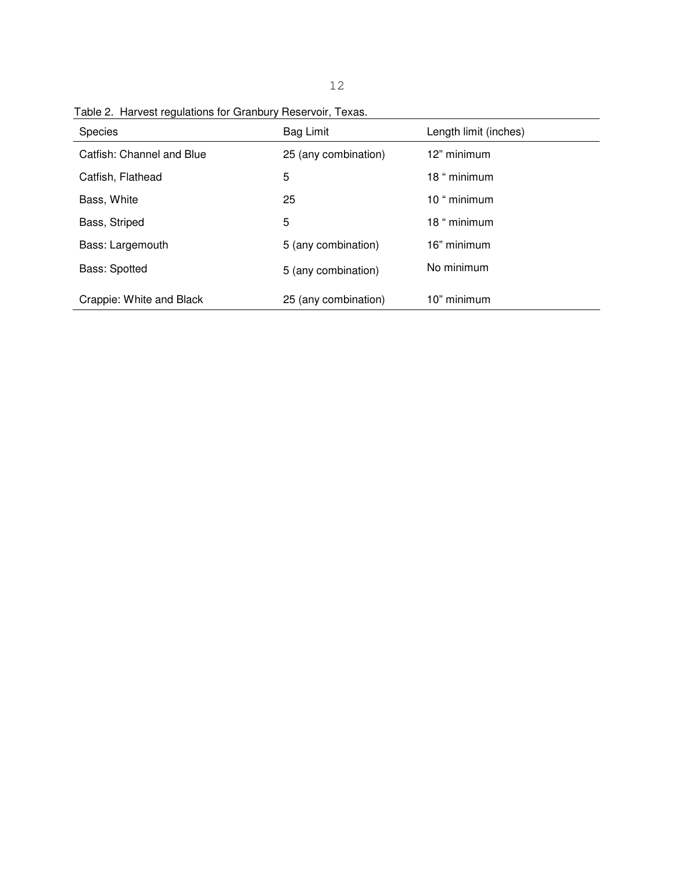| <b>Species</b>            | Bag Limit            | Length limit (inches) |
|---------------------------|----------------------|-----------------------|
| Catfish: Channel and Blue | 25 (any combination) | 12" minimum           |
| Catfish, Flathead         | 5                    | 18 " minimum          |
| Bass, White               | 25                   | 10 " minimum          |
| Bass, Striped             | 5                    | 18 " minimum          |
| Bass: Largemouth          | 5 (any combination)  | 16" minimum           |
| <b>Bass: Spotted</b>      | 5 (any combination)  | No minimum            |
| Crappie: White and Black  | 25 (any combination) | 10" minimum           |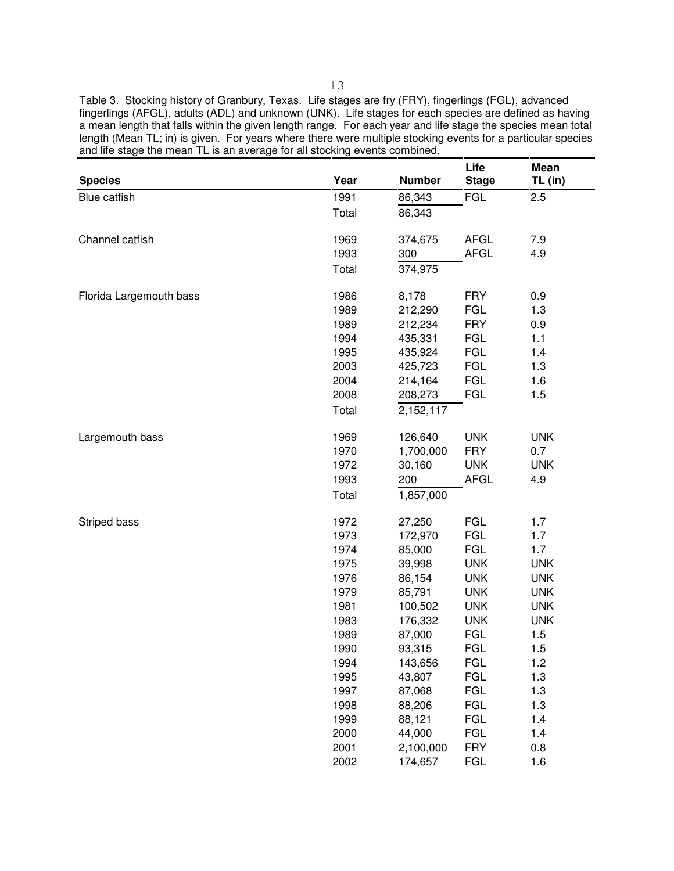Table 3. Stocking history of Granbury, Texas. Life stages are fry (FRY), fingerlings (FGL), advanced length (Mean TL; in) is given. For years where there were multiple stocking events for a particular species and life stage the mean TL is an average for all stocking events combined. fingerlings (AFGL), adults (ADL) and unknown (UNK). Life stages for each species are defined as having a mean length that falls within the given length range. For each year and life stage the species mean total

| 1991<br><b>FGL</b><br>Blue catfish<br>86,343<br>2.5<br>Total<br>86,343<br><b>AFGL</b><br>Channel catfish<br>1969<br>374,675<br>7.9<br><b>AFGL</b><br>1993<br>300<br>4.9<br>374,975<br>Total<br>1986<br>8,178<br><b>FRY</b><br>0.9<br>Florida Largemouth bass<br><b>FGL</b><br>1989<br>1.3<br>212,290<br><b>FRY</b><br>1989<br>212,234<br>0.9<br><b>FGL</b><br>1994<br>435,331<br>1.1<br><b>FGL</b><br>1995<br>435,924<br>1.4<br><b>FGL</b><br>2003<br>425,723<br>1.3<br><b>FGL</b><br>2004<br>214,164<br>1.6<br><b>FGL</b><br>2008<br>1.5<br>208,273<br>Total<br>2,152,117<br><b>UNK</b><br>1969<br>126,640<br><b>UNK</b><br>Largemouth bass<br><b>FRY</b><br>1970<br>1,700,000<br>0.7<br><b>UNK</b><br>1972<br>30,160<br><b>UNK</b><br>200<br>1993<br><b>AFGL</b><br>4.9<br>Total<br>1,857,000<br><b>FGL</b><br>1972<br>27,250<br>1.7<br>Striped bass<br><b>FGL</b><br>1973<br>1.7<br>172,970<br><b>FGL</b><br>1974<br>85,000<br>1.7<br>1975<br><b>UNK</b><br><b>UNK</b><br>39,998<br>1976<br><b>UNK</b><br><b>UNK</b><br>86,154<br>1979<br>85,791<br><b>UNK</b><br><b>UNK</b><br>1981<br><b>UNK</b><br><b>UNK</b><br>100,502<br>1983<br>176,332<br><b>UNK</b><br><b>UNK</b><br><b>FGL</b><br>1989<br>87,000<br>1.5<br><b>FGL</b><br>1990<br>1.5<br>93,315<br><b>FGL</b><br>1994<br>143,656<br>1.2<br><b>FGL</b><br>1995<br>43,807<br>1.3<br><b>FGL</b><br>1997<br>87,068<br>1.3<br><b>FGL</b><br>88,206<br>1.3<br>1998<br><b>FGL</b><br>1999<br>88,121<br>1.4<br><b>FGL</b><br>2000<br>44,000<br>1.4<br><b>FRY</b><br>2001<br>2,100,000<br>0.8 | <b>Species</b> | Year | <b>Number</b> | Life<br><b>Stage</b> | Mean<br>TL (in) |
|--------------------------------------------------------------------------------------------------------------------------------------------------------------------------------------------------------------------------------------------------------------------------------------------------------------------------------------------------------------------------------------------------------------------------------------------------------------------------------------------------------------------------------------------------------------------------------------------------------------------------------------------------------------------------------------------------------------------------------------------------------------------------------------------------------------------------------------------------------------------------------------------------------------------------------------------------------------------------------------------------------------------------------------------------------------------------------------------------------------------------------------------------------------------------------------------------------------------------------------------------------------------------------------------------------------------------------------------------------------------------------------------------------------------------------------------------------------------------------------------------------------------------------------------------|----------------|------|---------------|----------------------|-----------------|
|                                                                                                                                                                                                                                                                                                                                                                                                                                                                                                                                                                                                                                                                                                                                                                                                                                                                                                                                                                                                                                                                                                                                                                                                                                                                                                                                                                                                                                                                                                                                                  |                |      |               |                      |                 |
|                                                                                                                                                                                                                                                                                                                                                                                                                                                                                                                                                                                                                                                                                                                                                                                                                                                                                                                                                                                                                                                                                                                                                                                                                                                                                                                                                                                                                                                                                                                                                  |                |      |               |                      |                 |
|                                                                                                                                                                                                                                                                                                                                                                                                                                                                                                                                                                                                                                                                                                                                                                                                                                                                                                                                                                                                                                                                                                                                                                                                                                                                                                                                                                                                                                                                                                                                                  |                |      |               |                      |                 |
|                                                                                                                                                                                                                                                                                                                                                                                                                                                                                                                                                                                                                                                                                                                                                                                                                                                                                                                                                                                                                                                                                                                                                                                                                                                                                                                                                                                                                                                                                                                                                  |                |      |               |                      |                 |
|                                                                                                                                                                                                                                                                                                                                                                                                                                                                                                                                                                                                                                                                                                                                                                                                                                                                                                                                                                                                                                                                                                                                                                                                                                                                                                                                                                                                                                                                                                                                                  |                |      |               |                      |                 |
|                                                                                                                                                                                                                                                                                                                                                                                                                                                                                                                                                                                                                                                                                                                                                                                                                                                                                                                                                                                                                                                                                                                                                                                                                                                                                                                                                                                                                                                                                                                                                  |                |      |               |                      |                 |
|                                                                                                                                                                                                                                                                                                                                                                                                                                                                                                                                                                                                                                                                                                                                                                                                                                                                                                                                                                                                                                                                                                                                                                                                                                                                                                                                                                                                                                                                                                                                                  |                |      |               |                      |                 |
|                                                                                                                                                                                                                                                                                                                                                                                                                                                                                                                                                                                                                                                                                                                                                                                                                                                                                                                                                                                                                                                                                                                                                                                                                                                                                                                                                                                                                                                                                                                                                  |                |      |               |                      |                 |
|                                                                                                                                                                                                                                                                                                                                                                                                                                                                                                                                                                                                                                                                                                                                                                                                                                                                                                                                                                                                                                                                                                                                                                                                                                                                                                                                                                                                                                                                                                                                                  |                |      |               |                      |                 |
|                                                                                                                                                                                                                                                                                                                                                                                                                                                                                                                                                                                                                                                                                                                                                                                                                                                                                                                                                                                                                                                                                                                                                                                                                                                                                                                                                                                                                                                                                                                                                  |                |      |               |                      |                 |
|                                                                                                                                                                                                                                                                                                                                                                                                                                                                                                                                                                                                                                                                                                                                                                                                                                                                                                                                                                                                                                                                                                                                                                                                                                                                                                                                                                                                                                                                                                                                                  |                |      |               |                      |                 |
|                                                                                                                                                                                                                                                                                                                                                                                                                                                                                                                                                                                                                                                                                                                                                                                                                                                                                                                                                                                                                                                                                                                                                                                                                                                                                                                                                                                                                                                                                                                                                  |                |      |               |                      |                 |
|                                                                                                                                                                                                                                                                                                                                                                                                                                                                                                                                                                                                                                                                                                                                                                                                                                                                                                                                                                                                                                                                                                                                                                                                                                                                                                                                                                                                                                                                                                                                                  |                |      |               |                      |                 |
|                                                                                                                                                                                                                                                                                                                                                                                                                                                                                                                                                                                                                                                                                                                                                                                                                                                                                                                                                                                                                                                                                                                                                                                                                                                                                                                                                                                                                                                                                                                                                  |                |      |               |                      |                 |
|                                                                                                                                                                                                                                                                                                                                                                                                                                                                                                                                                                                                                                                                                                                                                                                                                                                                                                                                                                                                                                                                                                                                                                                                                                                                                                                                                                                                                                                                                                                                                  |                |      |               |                      |                 |
|                                                                                                                                                                                                                                                                                                                                                                                                                                                                                                                                                                                                                                                                                                                                                                                                                                                                                                                                                                                                                                                                                                                                                                                                                                                                                                                                                                                                                                                                                                                                                  |                |      |               |                      |                 |
|                                                                                                                                                                                                                                                                                                                                                                                                                                                                                                                                                                                                                                                                                                                                                                                                                                                                                                                                                                                                                                                                                                                                                                                                                                                                                                                                                                                                                                                                                                                                                  |                |      |               |                      |                 |
|                                                                                                                                                                                                                                                                                                                                                                                                                                                                                                                                                                                                                                                                                                                                                                                                                                                                                                                                                                                                                                                                                                                                                                                                                                                                                                                                                                                                                                                                                                                                                  |                |      |               |                      |                 |
|                                                                                                                                                                                                                                                                                                                                                                                                                                                                                                                                                                                                                                                                                                                                                                                                                                                                                                                                                                                                                                                                                                                                                                                                                                                                                                                                                                                                                                                                                                                                                  |                |      |               |                      |                 |
|                                                                                                                                                                                                                                                                                                                                                                                                                                                                                                                                                                                                                                                                                                                                                                                                                                                                                                                                                                                                                                                                                                                                                                                                                                                                                                                                                                                                                                                                                                                                                  |                |      |               |                      |                 |
|                                                                                                                                                                                                                                                                                                                                                                                                                                                                                                                                                                                                                                                                                                                                                                                                                                                                                                                                                                                                                                                                                                                                                                                                                                                                                                                                                                                                                                                                                                                                                  |                |      |               |                      |                 |
|                                                                                                                                                                                                                                                                                                                                                                                                                                                                                                                                                                                                                                                                                                                                                                                                                                                                                                                                                                                                                                                                                                                                                                                                                                                                                                                                                                                                                                                                                                                                                  |                |      |               |                      |                 |
|                                                                                                                                                                                                                                                                                                                                                                                                                                                                                                                                                                                                                                                                                                                                                                                                                                                                                                                                                                                                                                                                                                                                                                                                                                                                                                                                                                                                                                                                                                                                                  |                |      |               |                      |                 |
|                                                                                                                                                                                                                                                                                                                                                                                                                                                                                                                                                                                                                                                                                                                                                                                                                                                                                                                                                                                                                                                                                                                                                                                                                                                                                                                                                                                                                                                                                                                                                  |                |      |               |                      |                 |
|                                                                                                                                                                                                                                                                                                                                                                                                                                                                                                                                                                                                                                                                                                                                                                                                                                                                                                                                                                                                                                                                                                                                                                                                                                                                                                                                                                                                                                                                                                                                                  |                |      |               |                      |                 |
|                                                                                                                                                                                                                                                                                                                                                                                                                                                                                                                                                                                                                                                                                                                                                                                                                                                                                                                                                                                                                                                                                                                                                                                                                                                                                                                                                                                                                                                                                                                                                  |                |      |               |                      |                 |
|                                                                                                                                                                                                                                                                                                                                                                                                                                                                                                                                                                                                                                                                                                                                                                                                                                                                                                                                                                                                                                                                                                                                                                                                                                                                                                                                                                                                                                                                                                                                                  |                |      |               |                      |                 |
|                                                                                                                                                                                                                                                                                                                                                                                                                                                                                                                                                                                                                                                                                                                                                                                                                                                                                                                                                                                                                                                                                                                                                                                                                                                                                                                                                                                                                                                                                                                                                  |                |      |               |                      |                 |
|                                                                                                                                                                                                                                                                                                                                                                                                                                                                                                                                                                                                                                                                                                                                                                                                                                                                                                                                                                                                                                                                                                                                                                                                                                                                                                                                                                                                                                                                                                                                                  |                |      |               |                      |                 |
|                                                                                                                                                                                                                                                                                                                                                                                                                                                                                                                                                                                                                                                                                                                                                                                                                                                                                                                                                                                                                                                                                                                                                                                                                                                                                                                                                                                                                                                                                                                                                  |                |      |               |                      |                 |
|                                                                                                                                                                                                                                                                                                                                                                                                                                                                                                                                                                                                                                                                                                                                                                                                                                                                                                                                                                                                                                                                                                                                                                                                                                                                                                                                                                                                                                                                                                                                                  |                |      |               |                      |                 |
|                                                                                                                                                                                                                                                                                                                                                                                                                                                                                                                                                                                                                                                                                                                                                                                                                                                                                                                                                                                                                                                                                                                                                                                                                                                                                                                                                                                                                                                                                                                                                  |                |      |               |                      |                 |
|                                                                                                                                                                                                                                                                                                                                                                                                                                                                                                                                                                                                                                                                                                                                                                                                                                                                                                                                                                                                                                                                                                                                                                                                                                                                                                                                                                                                                                                                                                                                                  |                |      |               |                      |                 |
|                                                                                                                                                                                                                                                                                                                                                                                                                                                                                                                                                                                                                                                                                                                                                                                                                                                                                                                                                                                                                                                                                                                                                                                                                                                                                                                                                                                                                                                                                                                                                  |                |      |               |                      |                 |
|                                                                                                                                                                                                                                                                                                                                                                                                                                                                                                                                                                                                                                                                                                                                                                                                                                                                                                                                                                                                                                                                                                                                                                                                                                                                                                                                                                                                                                                                                                                                                  |                |      |               |                      |                 |
| <b>FGL</b><br>2002<br>174,657<br>1.6                                                                                                                                                                                                                                                                                                                                                                                                                                                                                                                                                                                                                                                                                                                                                                                                                                                                                                                                                                                                                                                                                                                                                                                                                                                                                                                                                                                                                                                                                                             |                |      |               |                      |                 |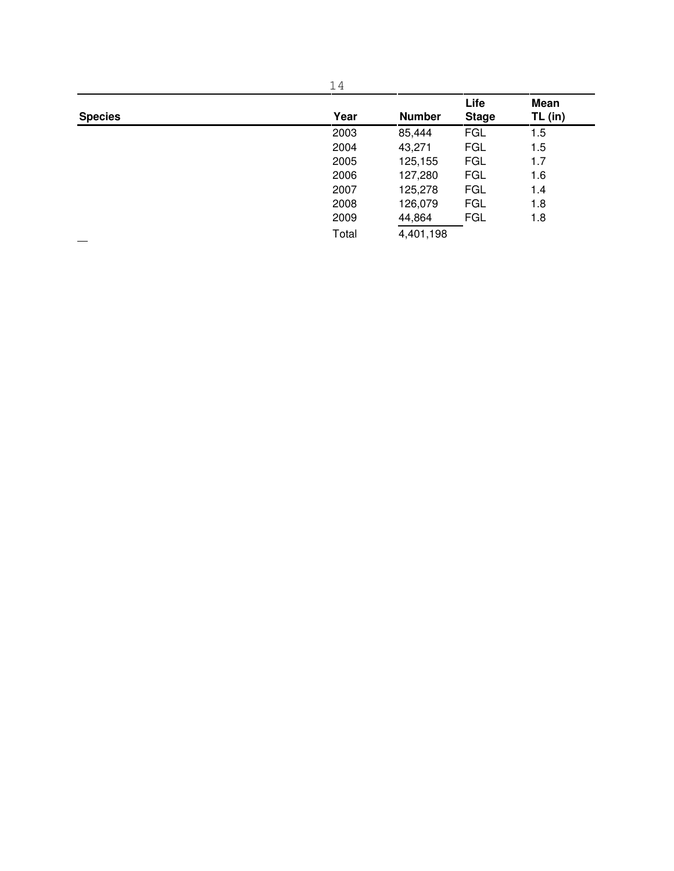|                | 14    |               |                      |                        |  |
|----------------|-------|---------------|----------------------|------------------------|--|
| <b>Species</b> | Year  | <b>Number</b> | Life<br><b>Stage</b> | <b>Mean</b><br>TL (in) |  |
|                | 2003  | 85,444        | <b>FGL</b>           | 1.5                    |  |
|                | 2004  | 43,271        | <b>FGL</b>           | 1.5                    |  |
|                | 2005  | 125,155       | <b>FGL</b>           | 1.7                    |  |
|                | 2006  | 127,280       | <b>FGL</b>           | 1.6                    |  |
|                | 2007  | 125,278       | <b>FGL</b>           | 1.4                    |  |
|                | 2008  | 126,079       | <b>FGL</b>           | 1.8                    |  |
|                | 2009  | 44,864        | <b>FGL</b>           | 1.8                    |  |
|                | Total | 4,401,198     |                      |                        |  |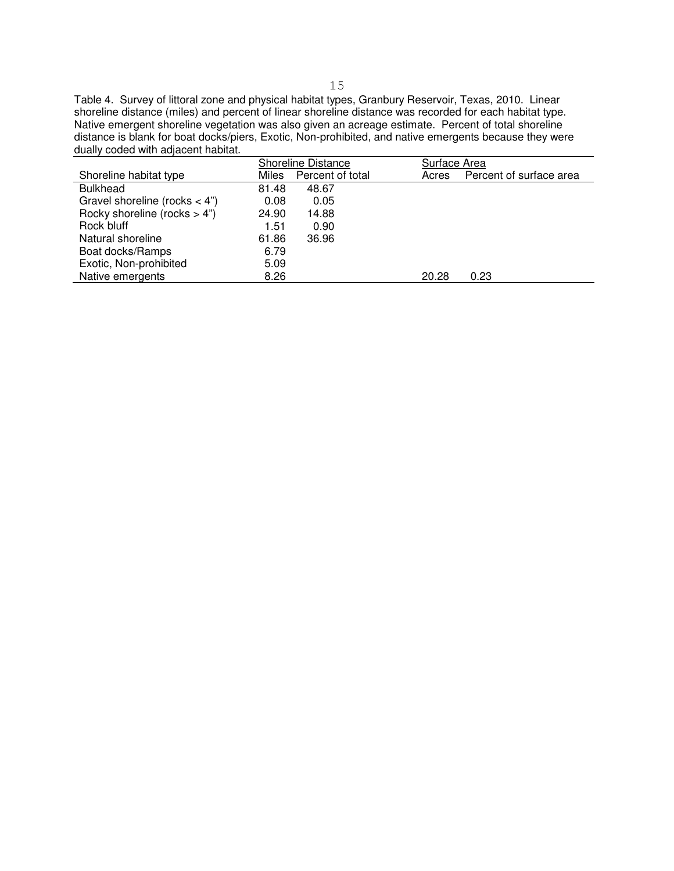Table 4. Survey of littoral zone and physical habitat types, Granbury Reservoir, Texas, 2010. Linear shoreline distance (miles) and percent of linear shoreline distance was recorded for each habitat type. Native emergent shoreline vegetation was also given an acreage estimate. Percent of total shoreline distance is blank for boat docks/piers, Exotic, Non-prohibited, and native emergents because they were dually coded with adjacent habitat.

|       |                  | Surface Area              |                         |  |  |  |
|-------|------------------|---------------------------|-------------------------|--|--|--|
| Miles | Percent of total | Acres                     | Percent of surface area |  |  |  |
| 81.48 | 48.67            |                           |                         |  |  |  |
| 0.08  | 0.05             |                           |                         |  |  |  |
| 24.90 | 14.88            |                           |                         |  |  |  |
| 1.51  | 0.90             |                           |                         |  |  |  |
| 61.86 | 36.96            |                           |                         |  |  |  |
| 6.79  |                  |                           |                         |  |  |  |
| 5.09  |                  |                           |                         |  |  |  |
| 8.26  |                  | 20.28                     | 0.23                    |  |  |  |
|       |                  | <b>Shoreline Distance</b> |                         |  |  |  |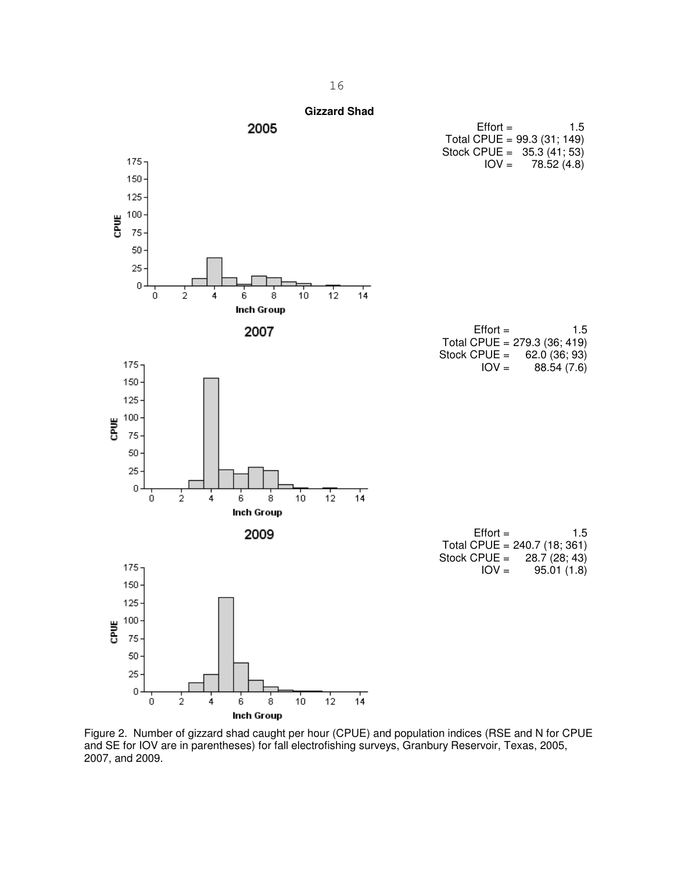<span id="page-16-0"></span>

 Figure 2. Number of gizzard shad caught per hour (CPUE) and population indices (RSE and N for CPUE and SE for IOV are in parentheses) for fall electrofishing surveys, Granbury Reservoir, Texas, 2005, 2007, and 2009.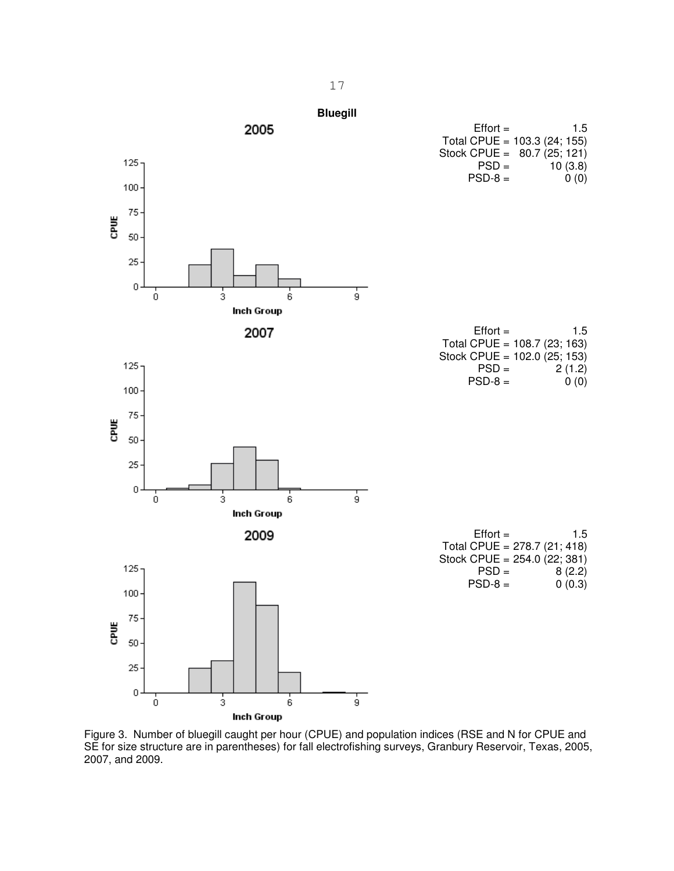<span id="page-17-0"></span>

 Figure 3. Number of bluegill caught per hour (CPUE) and population indices (RSE and N for CPUE and SE for size structure are in parentheses) for fall electrofishing surveys, Granbury Reservoir, Texas, 2005, 2007, and 2009.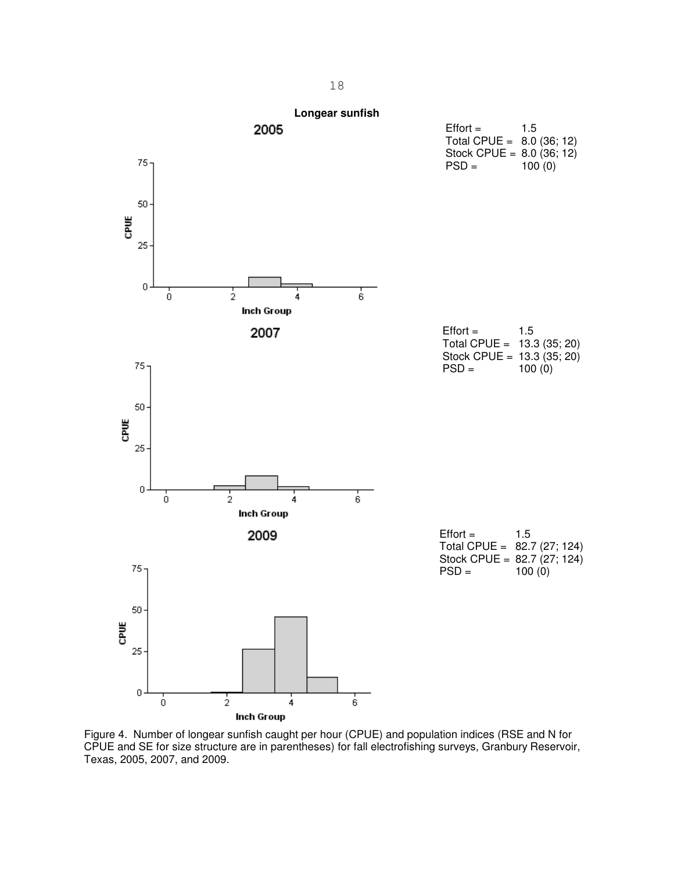<span id="page-18-0"></span>

 Figure 4. Number of longear sunfish caught per hour (CPUE) and population indices (RSE and N for CPUE and SE for size structure are in parentheses) for fall electrofishing surveys, Granbury Reservoir, Texas, 2005, 2007, and 2009.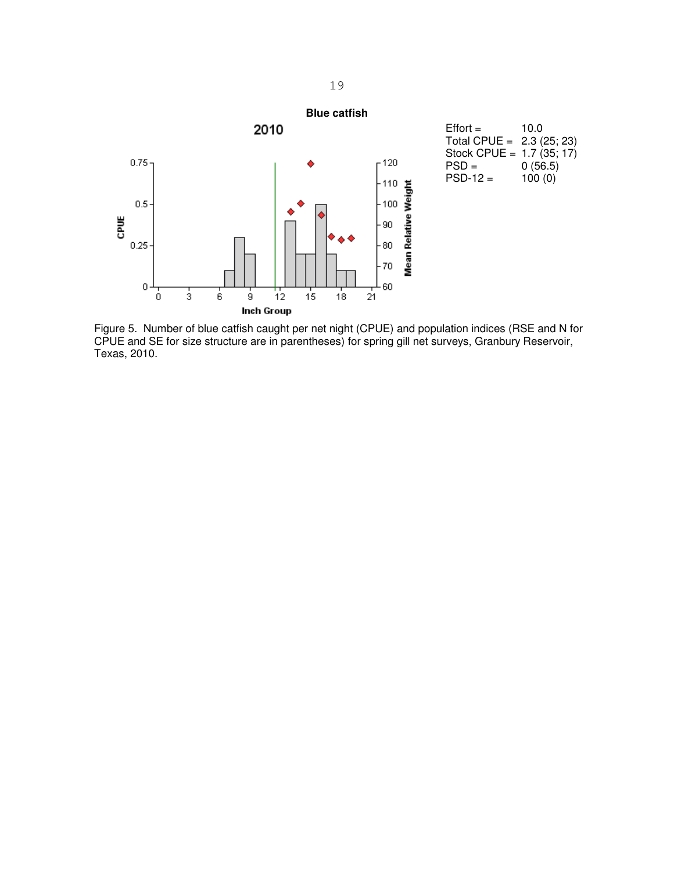<span id="page-19-0"></span>

 Figure 5. Number of blue catfish caught per net night (CPUE) and population indices (RSE and N for CPUE and SE for size structure are in parentheses) for spring gill net surveys, Granbury Reservoir, Texas, 2010.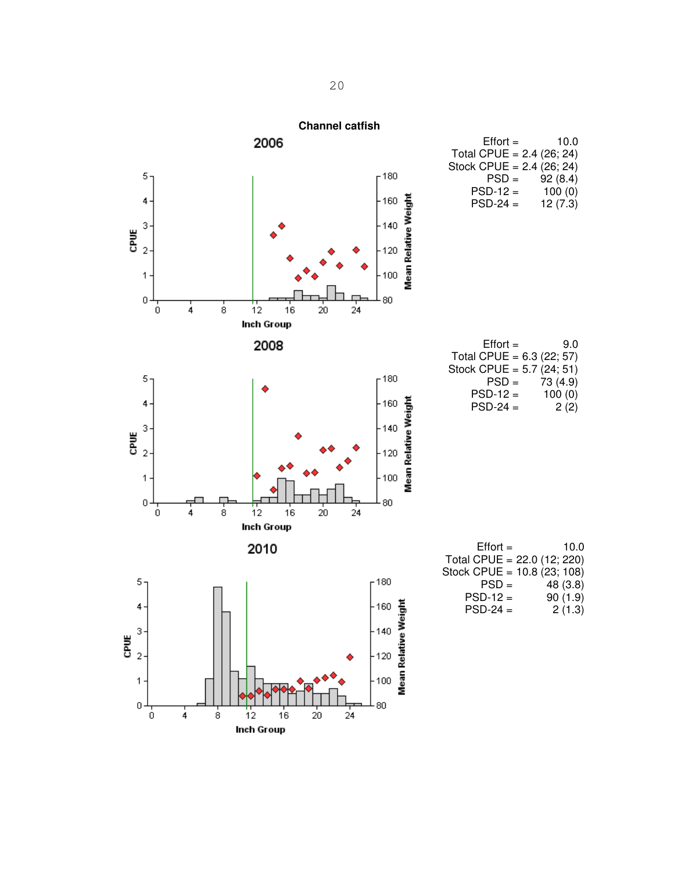<span id="page-20-0"></span>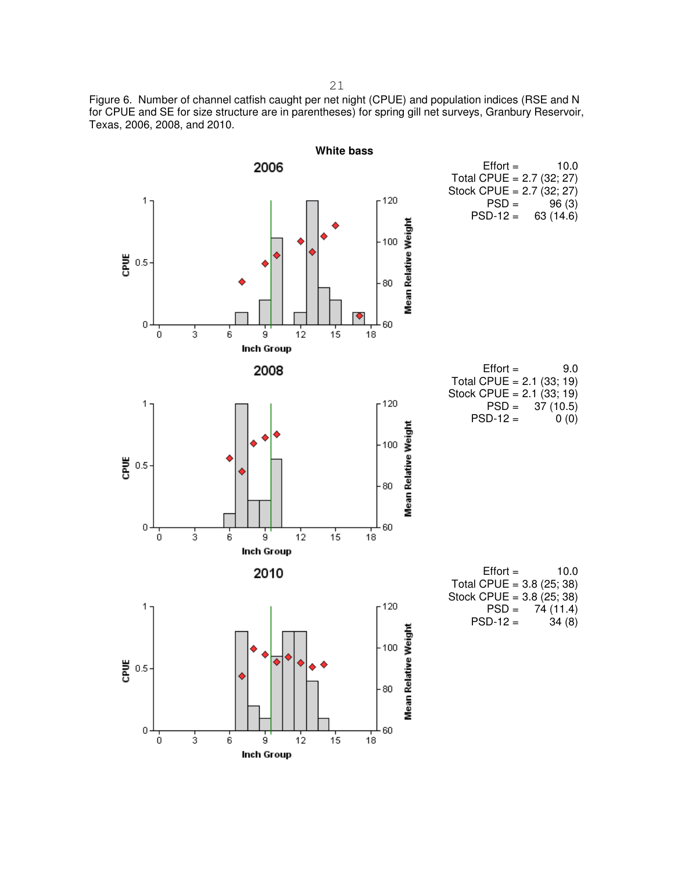<span id="page-21-0"></span> Figure 6. Number of channel catfish caught per net night (CPUE) and population indices (RSE and N for CPUE and SE for size structure are in parentheses) for spring gill net surveys, Granbury Reservoir, Texas, 2006, 2008, and 2010.



21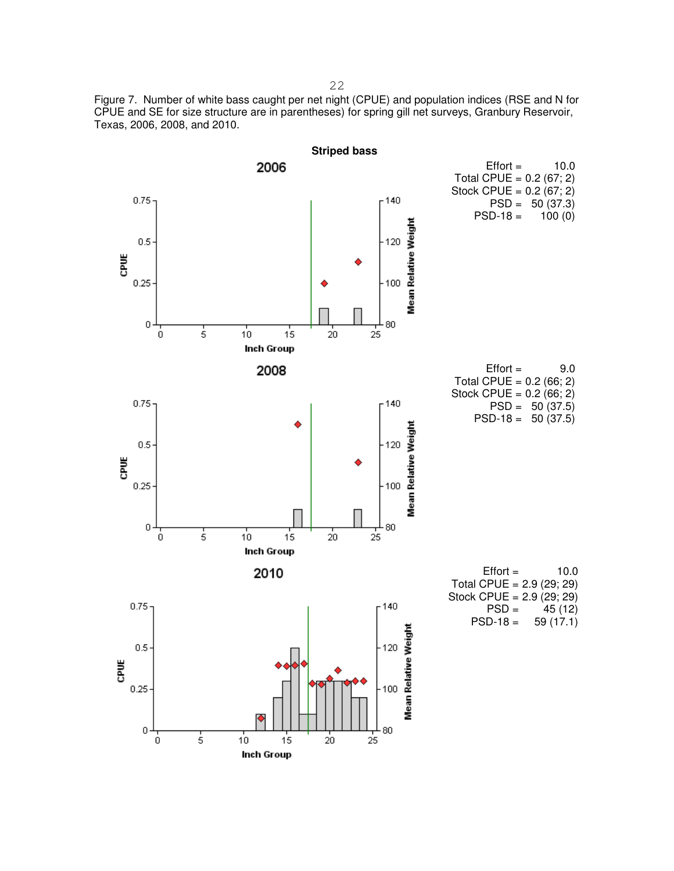<span id="page-22-0"></span> Figure 7. Number of white bass caught per net night (CPUE) and population indices (RSE and N for CPUE and SE for size structure are in parentheses) for spring gill net surveys, Granbury Reservoir, Texas, 2006, 2008, and 2010.



22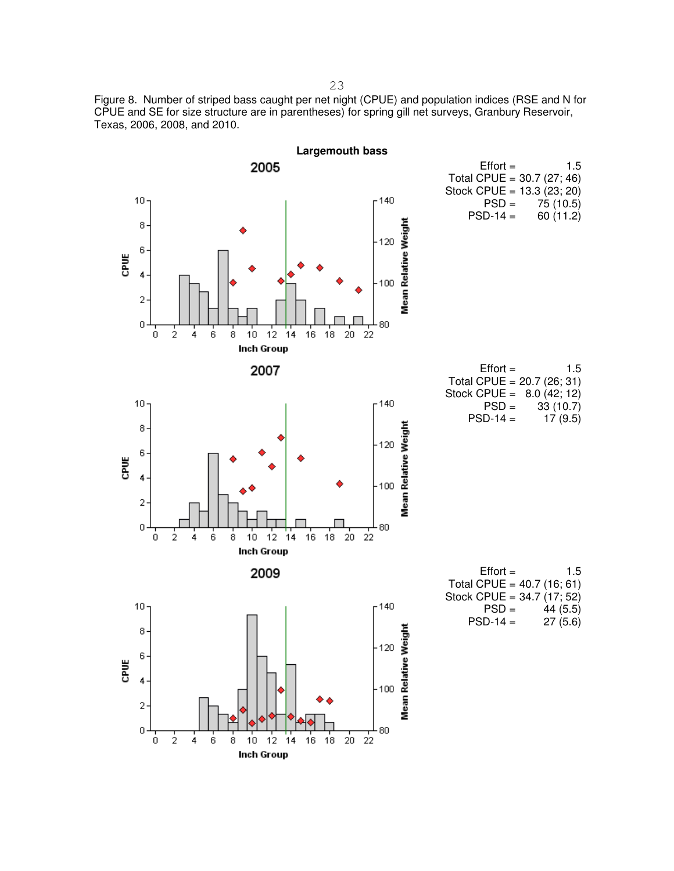<span id="page-23-0"></span> Figure 8. Number of striped bass caught per net night (CPUE) and population indices (RSE and N for CPUE and SE for size structure are in parentheses) for spring gill net surveys, Granbury Reservoir, Texas, 2006, 2008, and 2010.

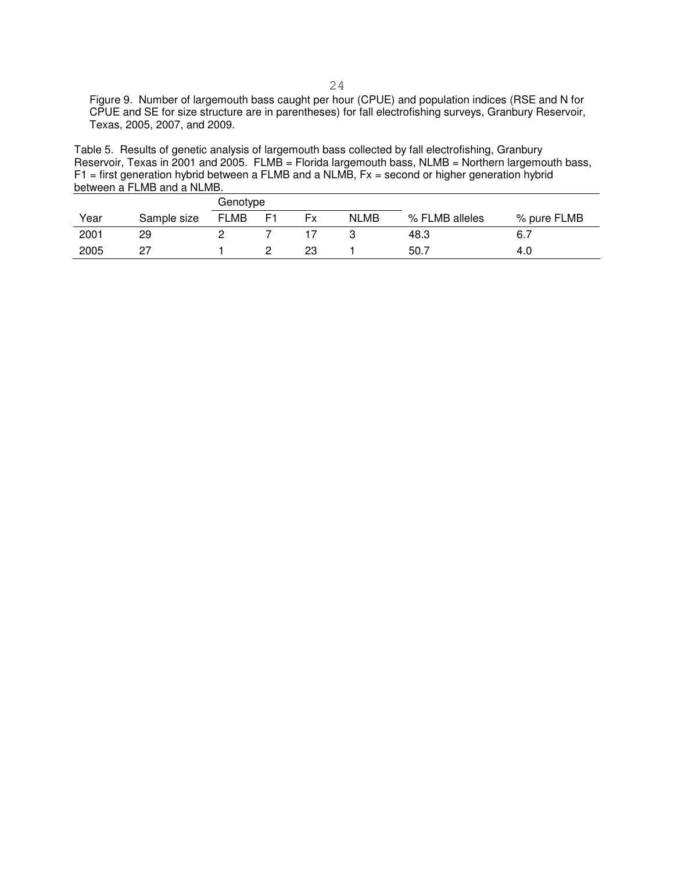Figure 9. Number of largemouth bass caught per hour (CPUE) and population indices (RSE and N for CPUE and SE for size structure are in parentheses) for fall electrofishing surveys, Granbury Reservoir, Texas, 2005, 2007, and 2009.

 Table 5. Results of genetic analysis of largemouth bass collected by fall electrofishing, Granbury Reservoir, Texas in 2001 and 2005. FLMB = Florida largemouth bass, NLMB = Northern largemouth bass, F1 = first generation hybrid between a FLMB and a NLMB, Fx = second or higher generation hybrid between a FLMB and a NLMB.

|      |             | Genotype    |    |    |             |                |             |
|------|-------------|-------------|----|----|-------------|----------------|-------------|
| Year | Sample size | <b>FLMB</b> | E1 | Fx | <b>NLMB</b> | % FLMB alleles | % pure FLMB |
| 2001 | 29          |             |    |    |             | 48.3           | 6.7         |
| 2005 |             |             |    | 23 |             | 50.7           | 4.0         |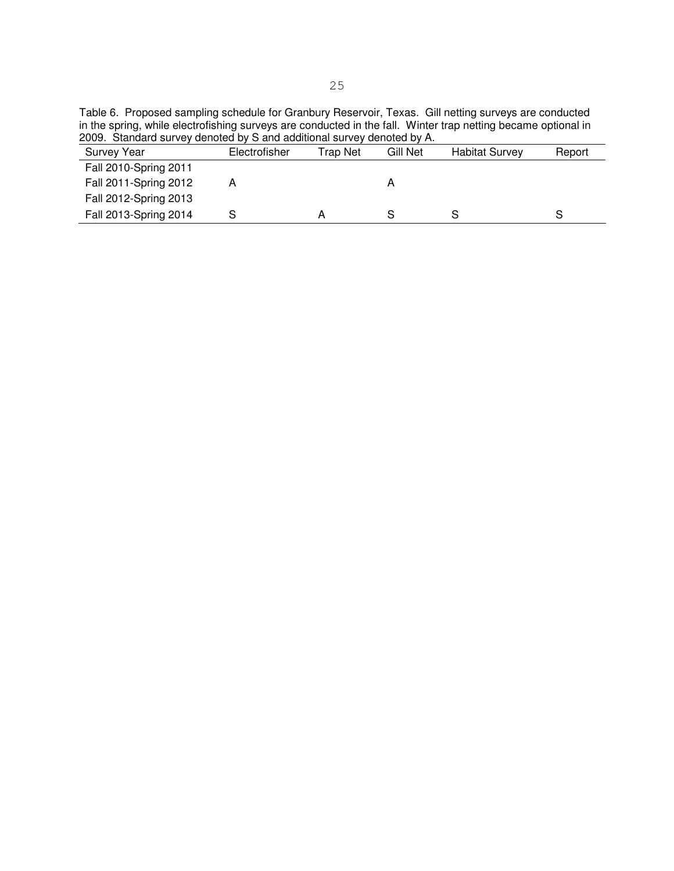Table 6. Proposed sampling schedule for Granbury Reservoir, Texas. Gill netting surveys are conducted in the spring, while electrofishing surveys are conducted in the fall. Winter trap netting became optional in 2009. Standard survey denoted by S and additional survey denoted by A.

| <b>Survey Year</b>    | Electrofisher | Trap Net | Gill Net | <b>Habitat Survey</b> | Report |
|-----------------------|---------------|----------|----------|-----------------------|--------|
| Fall 2010-Spring 2011 |               |          |          |                       |        |
| Fall 2011-Spring 2012 |               |          |          |                       |        |
| Fall 2012-Spring 2013 |               |          |          |                       |        |
| Fall 2013-Spring 2014 |               |          |          |                       |        |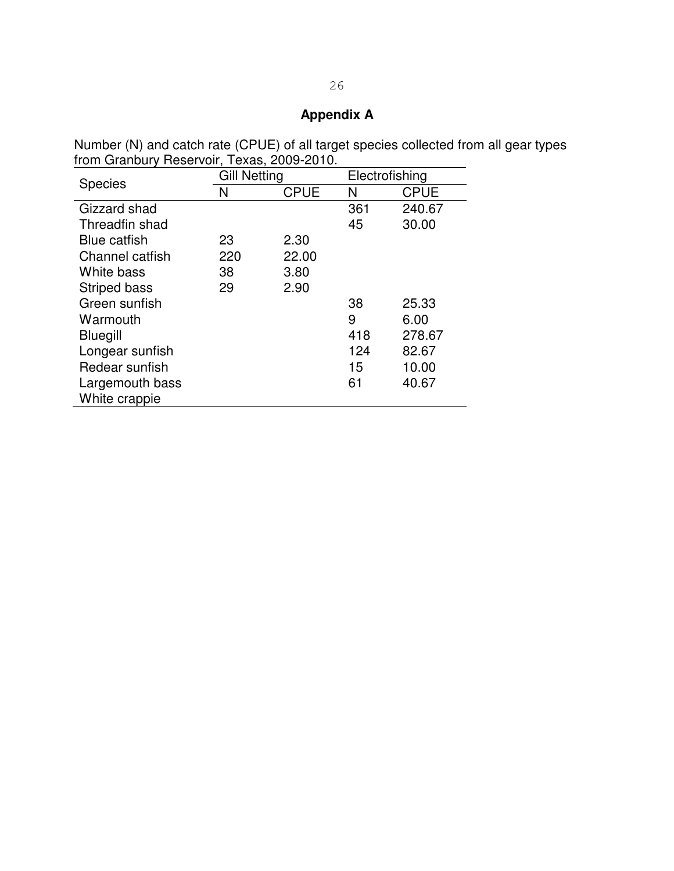## **Appendix A**

Number (N) and catch rate (CPUE) of all target species collected from all gear types from Granbury Reservoir, Texas, 2009-2010.

| <b>Species</b>      | <b>Gill Netting</b> |             |     | Electrofishing |  |  |  |
|---------------------|---------------------|-------------|-----|----------------|--|--|--|
|                     | N                   | <b>CPUE</b> |     | <b>CPUE</b>    |  |  |  |
| Gizzard shad        |                     |             | 361 | 240.67         |  |  |  |
| Threadfin shad      |                     |             | 45  | 30.00          |  |  |  |
| <b>Blue catfish</b> | 23                  | 2.30        |     |                |  |  |  |
| Channel catfish     | 220                 | 22.00       |     |                |  |  |  |
| White bass          | 38                  | 3.80        |     |                |  |  |  |
| <b>Striped bass</b> | 29                  | 2.90        |     |                |  |  |  |
| Green sunfish       |                     |             | 38  | 25.33          |  |  |  |
| Warmouth            |                     |             | 9   | 6.00           |  |  |  |
| Bluegill            |                     |             | 418 | 278.67         |  |  |  |
| Longear sunfish     |                     |             | 124 | 82.67          |  |  |  |
| Redear sunfish      |                     |             | 15  | 10.00          |  |  |  |
| Largemouth bass     |                     |             | 61  | 40.67          |  |  |  |
| White crappie       |                     |             |     |                |  |  |  |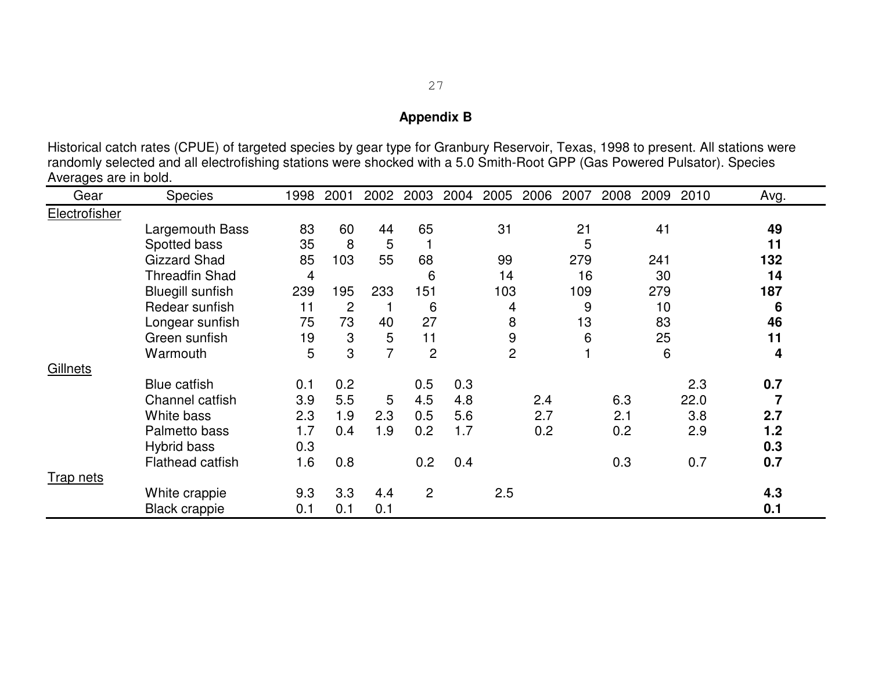# **Appendix B**

Historical catch rates (CPUE) of targeted species by gear type for Granbury Reservoir, Texas, 1998 to present. All stations were randomly selected and all electrofishing stations were shocked with a 5.0 Smith-Root GPP (Gas Powered Pulsator). Species Averages are in bold.

| Gear             | <b>Species</b>          | 1998 | 2001           | 2002 | 2003           | 2004 | 2005           | 2006 | 2007 | 2008 | 2009 | 2010 | Avg. |
|------------------|-------------------------|------|----------------|------|----------------|------|----------------|------|------|------|------|------|------|
| Electrofisher    |                         |      |                |      |                |      |                |      |      |      |      |      |      |
|                  | Largemouth Bass         | 83   | 60             | 44   | 65             |      | 31             |      | 21   |      | 41   |      | 49   |
|                  | Spotted bass            | 35   | 8              | 5    |                |      |                |      | 5    |      |      |      | 11   |
|                  | <b>Gizzard Shad</b>     | 85   | 103            | 55   | 68             |      | 99             |      | 279  |      | 241  |      | 132  |
|                  | <b>Threadfin Shad</b>   | 4    |                |      | 6              |      | 14             |      | 16   |      | 30   |      | 14   |
|                  | <b>Bluegill sunfish</b> | 239  | 195            | 233  | 151            |      | 103            |      | 109  |      | 279  |      | 187  |
|                  | Redear sunfish          | 11   | $\overline{c}$ |      | 6              |      | 4              |      | 9    |      | 10   |      | 6    |
|                  | Longear sunfish         | 75   | 73             | 40   | 27             |      | 8              |      | 13   |      | 83   |      | 46   |
|                  | Green sunfish           | 19   | 3              | 5    | 11             |      | 9              |      | 6    |      | 25   |      | 11   |
|                  | Warmouth                | 5    | 3              | 7    | $\overline{2}$ |      | $\overline{2}$ |      |      |      | 6    |      | 4    |
| Gillnets         |                         |      |                |      |                |      |                |      |      |      |      |      |      |
|                  | <b>Blue catfish</b>     | 0.1  | 0.2            |      | 0.5            | 0.3  |                |      |      |      |      | 2.3  | 0.7  |
|                  | Channel catfish         | 3.9  | 5.5            | 5    | 4.5            | 4.8  |                | 2.4  |      | 6.3  |      | 22.0 |      |
|                  | White bass              | 2.3  | 1.9            | 2.3  | 0.5            | 5.6  |                | 2.7  |      | 2.1  |      | 3.8  | 2.7  |
|                  | Palmetto bass           | 1.7  | 0.4            | 1.9  | 0.2            | 1.7  |                | 0.2  |      | 0.2  |      | 2.9  | 1.2  |
|                  | Hybrid bass             | 0.3  |                |      |                |      |                |      |      |      |      |      | 0.3  |
|                  | <b>Flathead catfish</b> | 1.6  | 0.8            |      | 0.2            | 0.4  |                |      |      | 0.3  |      | 0.7  | 0.7  |
| <b>Trap nets</b> |                         |      |                |      |                |      |                |      |      |      |      |      |      |
|                  | White crappie           | 9.3  | 3.3            | 4.4  | $\overline{2}$ |      | 2.5            |      |      |      |      |      | 4.3  |
|                  | <b>Black crappie</b>    | 0.1  | 0.1            | 0.1  |                |      |                |      |      |      |      |      | 0.1  |